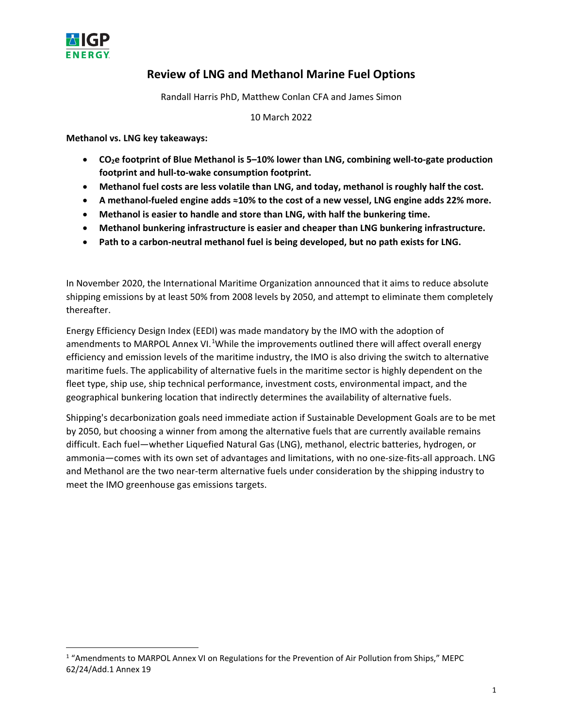

# **Review of LNG and Methanol Marine Fuel Options**

Randall Harris PhD, Matthew Conlan CFA and James Simon

10 March 2022

**Methanol vs. LNG key takeaways:**

- **CO2e footprint of Blue Methanol is 5–10% lower than LNG, combining well-to-gate production footprint and hull-to-wake consumption footprint.**
- **Methanol fuel costs are less volatile than LNG, and today, methanol is roughly half the cost.**
- **A methanol-fueled engine adds ≈10% to the cost of a new vessel, LNG engine adds 22% more.**
- **Methanol is easier to handle and store than LNG, with half the bunkering time.**
- **Methanol bunkering infrastructure is easier and cheaper than LNG bunkering infrastructure.**
- **Path to a carbon-neutral methanol fuel is being developed, but no path exists for LNG.**

In November 2020, the International Maritime Organization announced that it aims to reduce absolute shipping emissions by at least 50% from 2008 levels by 2050, and attempt to eliminate them completely thereafter.

Energy Efficiency Design Index (EEDI) was made mandatory by the IMO with the adoption of amendments to MARPOL Annex VI.<sup>[1](#page-0-0)</sup>While the improvements outlined there will affect overall energy efficiency and emission levels of the maritime industry, the IMO is also driving the switch to alternative maritime fuels. The applicability of alternative fuels in the maritime sector is highly dependent on the fleet type, ship use, ship technical performance, investment costs, environmental impact, and the geographical bunkering location that indirectly determines the availability of alternative fuels.

Shipping's decarbonization goals need immediate action if Sustainable Development Goals are to be met by 2050, but choosing a winner from among the alternative fuels that are currently available remains difficult. Each fuel—whether Liquefied Natural Gas (LNG), methanol, electric batteries, hydrogen, or ammonia—comes with its own set of advantages and limitations, with no one-size-fits-all approach. LNG and Methanol are the two near-term alternative fuels under consideration by the shipping industry to meet the IMO greenhouse gas emissions targets.

<span id="page-0-0"></span><sup>&</sup>lt;sup>1</sup> "Amendments to MARPOL Annex VI on Regulations for the Prevention of Air Pollution from Ships," MEPC 62/24/Add.1 Annex 19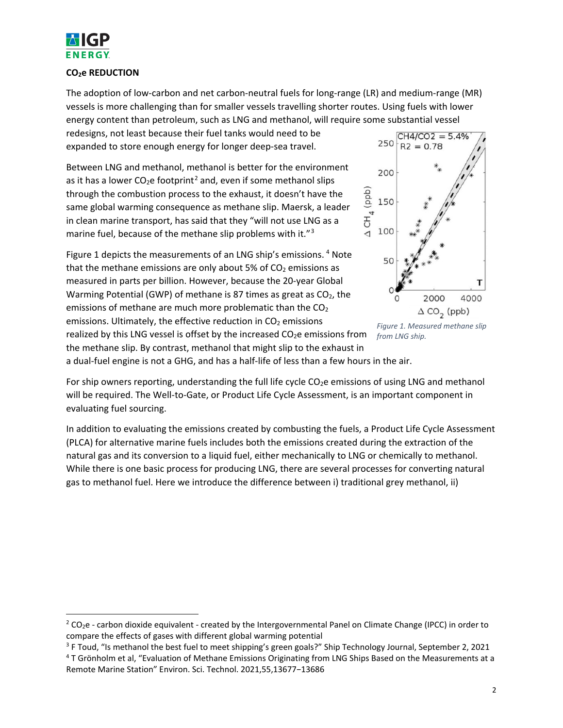

 $\overline{\phantom{a}}$ 

# **CO<sub>2</sub>e REDUCTION**

The adoption of low-carbon and net carbon-neutral fuels for long-range (LR) and medium-range (MR) vessels is more challenging than for smaller vessels travelling shorter routes. Using fuels with lower energy content than petroleum, such as LNG and methanol, will require some substantial vessel redesigns, not least because their fuel tanks would need to be

expanded to store enough energy for longer deep-sea travel.

Between LNG and methanol, methanol is better for the environment as it has a lower  $CO<sub>2</sub>e$  $CO<sub>2</sub>e$  $CO<sub>2</sub>e$  footprint<sup>2</sup> and, even if some methanol slips through the combustion process to the exhaust, it doesn't have the same global warming consequence as methane slip. Maersk, a leader in clean marine transport, has said that they "will not use LNG as a marine fuel, because of the methane slip problems with it."<sup>[3](#page-1-1)</sup>

Figure 1 depicts the measurements of an LNG ship's emissions. <sup>[4](#page-1-2)</sup> Note that the methane emissions are only about 5% of  $CO<sub>2</sub>$  emissions as measured in parts per billion. However, because the 20-year Global Warming Potential (GWP) of methane is 87 times as great as  $CO<sub>2</sub>$ , the emissions of methane are much more problematic than the  $CO<sub>2</sub>$ emissions. Ultimately, the effective reduction in  $CO<sub>2</sub>$  emissions realized by this LNG vessel is offset by the increased  $CO<sub>2</sub>e$  emissions from the methane slip. By contrast, methanol that might slip to the exhaust in



*Figure 1. Measured methane slip from LNG ship.*

a dual-fuel engine is not a GHG, and has a half-life of less than a few hours in the air.

For ship owners reporting, understanding the full life cycle  $CO<sub>2</sub>e$  emissions of using LNG and methanol will be required. The Well-to-Gate, or Product Life Cycle Assessment, is an important component in evaluating fuel sourcing.

In addition to evaluating the emissions created by combusting the fuels, a Product Life Cycle Assessment (PLCA) for alternative marine fuels includes both the emissions created during the extraction of the natural gas and its conversion to a liquid fuel, either mechanically to LNG or chemically to methanol. While there is one basic process for producing LNG, there are several processes for converting natural gas to methanol fuel. Here we introduce the difference between i) traditional grey methanol, ii)

<span id="page-1-0"></span> $2$  CO<sub>2</sub>e - carbon dioxide equivalent - created by the Intergovernmental Panel on Climate Change (IPCC) in order to compare the effects of gases with different global warming potential

<span id="page-1-2"></span><span id="page-1-1"></span><sup>&</sup>lt;sup>3</sup> F Toud, "Is methanol the best fuel to meet shipping's green goals?" Ship Technology Journal, September 2, 2021 <sup>4</sup> T Grönholm et al, "Evaluation of Methane Emissions Originating from LNG Ships Based on the Measurements at a Remote Marine Station" Environ. Sci. Technol. 2021,55,13677−13686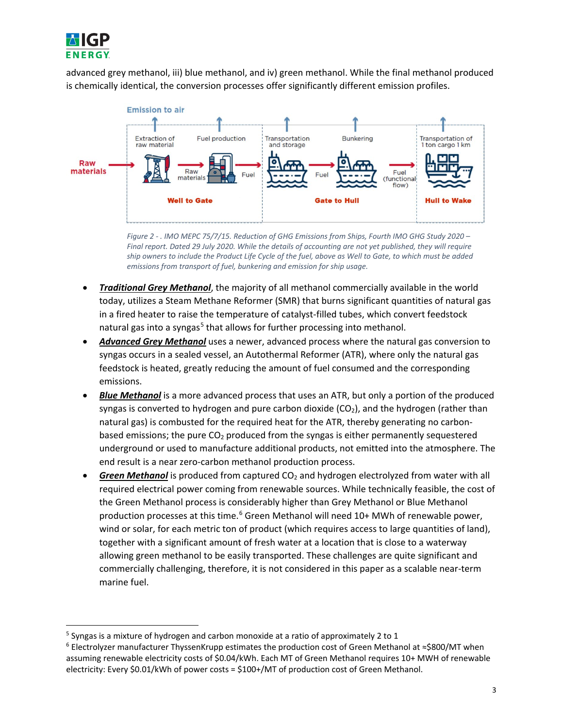

advanced grey methanol, iii) blue methanol, and iv) green methanol. While the final methanol produced is chemically identical, the conversion processes offer significantly different emission profiles.



*Figure 2 - . IMO MEPC 75/7/15. Reduction of GHG Emissions from Ships, Fourth IMO GHG Study 2020 – Final report. Dated 29 July 2020. While the details of accounting are not yet published, they will require ship owners to include the Product Life Cycle of the fuel, above as Well to Gate, to which must be added emissions from transport of fuel, bunkering and emission for ship usage.*

- *Traditional Grey Methanol*, the majority of all methanol commercially available in the world today, utilizes a Steam Methane Reformer (SMR) that burns significant quantities of natural gas in a fired heater to raise the temperature of catalyst-filled tubes, which convert feedstock natural gas into a syngas<sup>[5](#page-2-0)</sup> that allows for further processing into methanol.
- *Advanced Grey Methanol* uses a newer, advanced process where the natural gas conversion to syngas occurs in a sealed vessel, an Autothermal Reformer (ATR), where only the natural gas feedstock is heated, greatly reducing the amount of fuel consumed and the corresponding emissions.
- *Blue Methanol* is a more advanced process that uses an ATR, but only a portion of the produced syngas is converted to hydrogen and pure carbon dioxide  $(CO<sub>2</sub>)$ , and the hydrogen (rather than natural gas) is combusted for the required heat for the ATR, thereby generating no carbonbased emissions; the pure  $CO<sub>2</sub>$  produced from the syngas is either permanently sequestered underground or used to manufacture additional products, not emitted into the atmosphere. The end result is a near zero-carbon methanol production process.
- Green Methanol is produced from captured CO<sub>2</sub> and hydrogen electrolyzed from water with all required electrical power coming from renewable sources. While technically feasible, the cost of the Green Methanol process is considerably higher than Grey Methanol or Blue Methanol production processes at this time.<sup>[6](#page-2-1)</sup> Green Methanol will need 10+ MWh of renewable power, wind or solar, for each metric ton of product (which requires access to large quantities of land), together with a significant amount of fresh water at a location that is close to a waterway allowing green methanol to be easily transported. These challenges are quite significant and commercially challenging, therefore, it is not considered in this paper as a scalable near-term marine fuel.

<span id="page-2-0"></span> $5$  Syngas is a mixture of hydrogen and carbon monoxide at a ratio of approximately 2 to 1

<span id="page-2-1"></span><sup>6</sup> Electrolyzer manufacturer ThyssenKrupp estimates the production cost of Green Methanol at ≈\$800/MT when assuming renewable electricity costs of \$0.04/kWh. Each MT of Green Methanol requires 10+ MWH of renewable electricity: Every \$0.01/kWh of power costs = \$100+/MT of production cost of Green Methanol.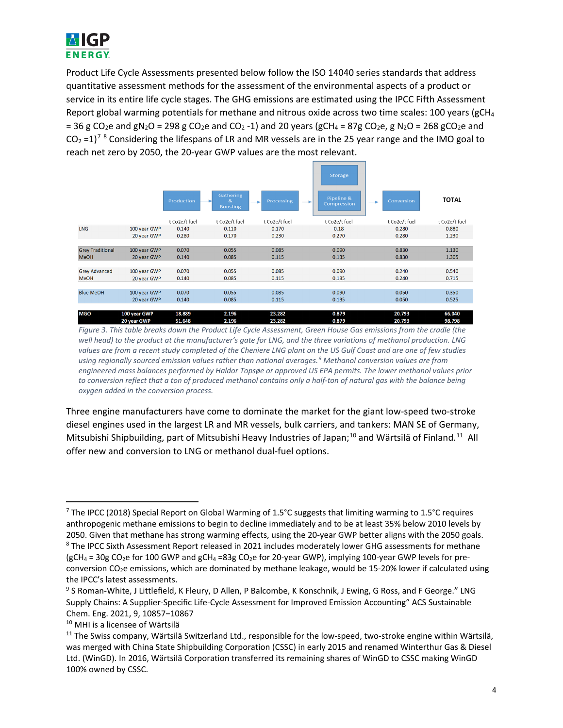

Product Life Cycle Assessments presented below follow the ISO 14040 series standards that address quantitative assessment methods for the assessment of the environmental aspects of a product or service in its entire life cycle stages. The GHG emissions are estimated using the IPCC Fifth Assessment Report global warming potentials for methane and nitrous oxide across two time scales: 100 years (gCH<sub>4</sub>  $= 36$  g CO<sub>2</sub>e and gN<sub>2</sub>O = 298 g CO<sub>2</sub>e and CO<sub>2</sub> -1) and 20 years (gCH<sub>4</sub> = 87g CO<sub>2</sub>e, g N<sub>2</sub>O = 268 gCO<sub>2</sub>e and  $CO<sub>2</sub> = 1$ <sup>[7](#page-3-0) [8](#page-3-1)</sup> Considering the lifespans of LR and MR vessels are in the 25 year range and the IMO goal to reach net zero by 2050, the 20-year GWP values are the most relevant.

|                         |              |               |                                          |               | Storage                                    |                             |               |
|-------------------------|--------------|---------------|------------------------------------------|---------------|--------------------------------------------|-----------------------------|---------------|
|                         |              | Production    | <b>Gathering</b><br>&<br><b>Boosting</b> | Processing    | Pipeline &<br>$\rightarrow$<br>Compression | Conversion<br>$\rightarrow$ | <b>TOTAL</b>  |
|                         |              | t Co2e/t fuel | t Co2e/t fuel                            | t Co2e/t fuel | t Co2e/t fuel                              | t Co2e/t fuel               | t Co2e/t fuel |
| <b>LNG</b>              | 100 year GWP | 0.140         | 0.110                                    | 0.170         | 0.18                                       | 0.280                       | 0.880         |
|                         | 20 year GWP  | 0.280         | 0.170                                    | 0.230         | 0.270                                      | 0.280                       | 1.230         |
|                         |              |               |                                          |               |                                            |                             |               |
| <b>Grey Traditional</b> | 100 year GWP | 0.070         | 0.055                                    | 0.085         | 0.090                                      | 0.830                       | 1.130         |
| <b>MeOH</b>             | 20 year GWP  | 0.140         | 0.085                                    | 0.115         | 0.135                                      | 0.830                       | 1.305         |
|                         |              |               |                                          |               |                                            |                             |               |
| <b>Grey Advanced</b>    | 100 year GWP | 0.070         | 0.055                                    | 0.085         | 0.090                                      | 0.240                       | 0.540         |
| <b>MeOH</b>             | 20 year GWP  | 0.140         | 0.085                                    | 0.115         | 0.135                                      | 0.240                       | 0.715         |
|                         |              |               |                                          |               |                                            |                             |               |
| <b>Blue MeOH</b>        | 100 year GWP | 0.070         | 0.055                                    | 0.085         | 0.090                                      | 0.050                       | 0.350         |
|                         | 20 year GWP  | 0.140         | 0.085                                    | 0.115         | 0.135                                      | 0.050                       | 0.525         |
|                         |              |               |                                          |               |                                            |                             |               |
| <b>MGO</b>              | 100 year GWP | 18.889        | 2.196                                    | 23.282        | 0.879                                      | 20.793                      | 66.040        |
|                         | 20 year GWP  | 51.648        | 2.196                                    | 23.282        | 0.879                                      | 20.793                      | 98.798        |

*Figure 3. This table breaks down the Product Life Cycle Assessment, Green House Gas emissions from the cradle (the well head) to the product at the manufacturer's gate for LNG, and the three variations of methanol production. LNG*  values are from a recent study completed of the Cheniere LNG plant on the US Gulf Coast and are one of few studies *using regionally sourced emission values rather than national averages.[9](#page-3-2) Methanol conversion values are from engineered mass balances performed by Haldor Topsøe or approved US EPA permits. The lower methanol values prior to conversion reflect that a ton of produced methanol contains only a half-ton of natural gas with the balance being oxygen added in the conversion process.*

Three engine manufacturers have come to dominate the market for the giant low-speed two-stroke diesel engines used in the largest LR and MR vessels, bulk carriers, and tankers: MAN SE of Germany, Mitsubishi Shipbuilding, part of Mitsubishi Heavy Industries of Japan;<sup>[10](#page-3-3)</sup> and Wärtsilä of Finland.<sup>11</sup> All offer new and conversion to LNG or methanol dual-fuel options.

l

<span id="page-3-1"></span><span id="page-3-0"></span><sup>&</sup>lt;sup>7</sup> The IPCC (2018) Special Report on Global Warming of 1.5°C suggests that limiting warming to 1.5°C requires anthropogenic methane emissions to begin to decline immediately and to be at least 35% below 2010 levels by 2050. Given that methane has strong warming effects, using the 20-year GWP better aligns with the 2050 goals. <sup>8</sup> The IPCC Sixth Assessment Report released in 2021 includes moderately lower GHG assessments for methane  $(gCH_4 = 30g CO_2e$  for 100 GWP and  $gCH_4 = 83g CO_2e$  for 20-year GWP), implying 100-year GWP levels for preconversion CO2e emissions, which are dominated by methane leakage, would be 15-20% lower if calculated using the IPCC's latest assessments.

<span id="page-3-2"></span><sup>&</sup>lt;sup>9</sup> S Roman-White, J Littlefield, K Fleury, D Allen, P Balcombe, K Konschnik, J Ewing, G Ross, and F George." LNG Supply Chains: A Supplier-Specific Life-Cycle Assessment for Improved Emission Accounting" ACS Sustainable Chem. Eng. 2021, 9, 10857−10867

<span id="page-3-3"></span><sup>10</sup> MHI is a licensee of Wärtsilä

<span id="page-3-4"></span><sup>&</sup>lt;sup>11</sup> The Swiss company, Wärtsilä Switzerland Ltd., responsible for the low-speed, two-stroke engine within Wärtsilä, was merged with China State Shipbuilding Corporation (CSSC) in early 2015 and renamed Winterthur Gas & Diesel Ltd. (WinGD). In 2016, Wärtsilä Corporation transferred its remaining shares of WinGD to CSSC making WinGD 100% owned by CSSC.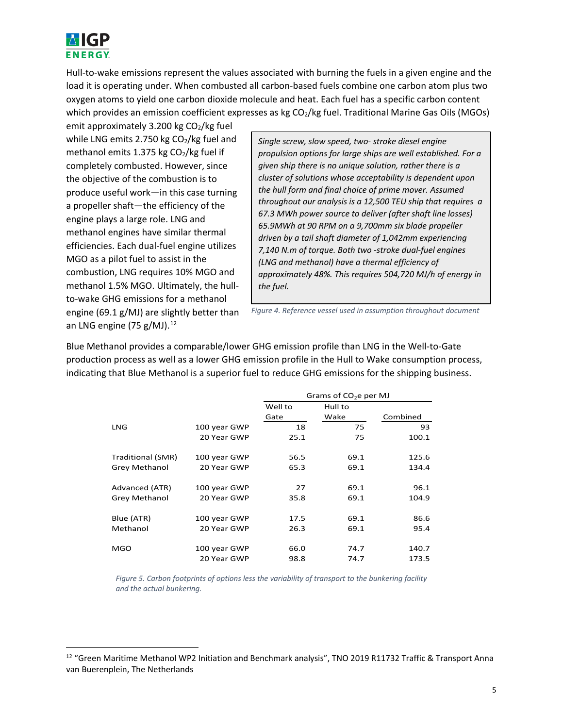

Hull-to-wake emissions represent the values associated with burning the fuels in a given engine and the load it is operating under. When combusted all carbon-based fuels combine one carbon atom plus two oxygen atoms to yield one carbon dioxide molecule and heat. Each fuel has a specific carbon content which provides an emission coefficient expresses as kg  $CO<sub>2</sub>/kg$  fuel. Traditional Marine Gas Oils (MGOs)

emit approximately 3.200 kg  $CO<sub>2</sub>/kg$  fuel while LNG emits 2.750 kg  $CO<sub>2</sub>/kg$  fuel and methanol emits 1.375 kg  $CO<sub>2</sub>/kg$  fuel if completely combusted. However, since the objective of the combustion is to produce useful work—in this case turning a propeller shaft—the efficiency of the engine plays a large role. LNG and methanol engines have similar thermal efficiencies. Each dual-fuel engine utilizes MGO as a pilot fuel to assist in the combustion, LNG requires 10% MGO and methanol 1.5% MGO. Ultimately, the hullto-wake GHG emissions for a methanol engine (69.1 g/MJ) are slightly better than an LNG engine (75 g/MJ). $^{12}$  $^{12}$  $^{12}$ 

*Single screw, slow speed, two- stroke diesel engine propulsion options for large ships are well established. For a given ship there is no unique solution, rather there is a cluster of solutions whose acceptability is dependent upon the hull form and final choice of prime mover. Assumed throughout our analysis is a 12,500 TEU ship that requires a 67.3 MWh power source to deliver (after shaft line losses) 65.9MWh at 90 RPM on a 9,700mm six blade propeller driven by a tail shaft diameter of 1,042mm experiencing 7,140 N.m of torque. Both two -stroke dual-fuel engines (LNG and methanol) have a thermal efficiency of approximately 48%. This requires 504,720 MJ/h of energy in the fuel.*

*Figure 4. Reference vessel used in assumption throughout document*

Blue Methanol provides a comparable/lower GHG emission profile than LNG in the Well-to-Gate production process as well as a lower GHG emission profile in the Hull to Wake consumption process, indicating that Blue Methanol is a superior fuel to reduce GHG emissions for the shipping business.

|                      |              | Grams of $CO2e$ per MJ |         |          |  |  |
|----------------------|--------------|------------------------|---------|----------|--|--|
|                      |              | Well to                | Hull to |          |  |  |
|                      |              | Gate                   | Wake    | Combined |  |  |
| <b>LNG</b>           | 100 year GWP | 18                     | 75      | 93       |  |  |
|                      | 20 Year GWP  | 25.1                   | 75      | 100.1    |  |  |
| Traditional (SMR)    | 100 year GWP | 56.5                   | 69.1    | 125.6    |  |  |
| Grey Methanol        | 20 Year GWP  | 65.3                   | 69.1    | 134.4    |  |  |
| Advanced (ATR)       | 100 year GWP | 27                     | 69.1    | 96.1     |  |  |
| <b>Grey Methanol</b> | 20 Year GWP  | 35.8                   | 69.1    | 104.9    |  |  |
| Blue (ATR)           | 100 year GWP | 17.5                   | 69.1    | 86.6     |  |  |
| Methanol             | 20 Year GWP  | 26.3                   | 69.1    | 95.4     |  |  |
| <b>MGO</b>           | 100 year GWP | 66.0                   | 74.7    | 140.7    |  |  |
|                      | 20 Year GWP  | 98.8                   | 74.7    | 173.5    |  |  |

*Figure 5. Carbon footprints of options less the variability of transport to the bunkering facility and the actual bunkering.* 

<span id="page-4-0"></span><sup>&</sup>lt;sup>12</sup> "Green Maritime Methanol WP2 Initiation and Benchmark analysis", TNO 2019 R11732 Traffic & Transport Anna van Buerenplein, The Netherlands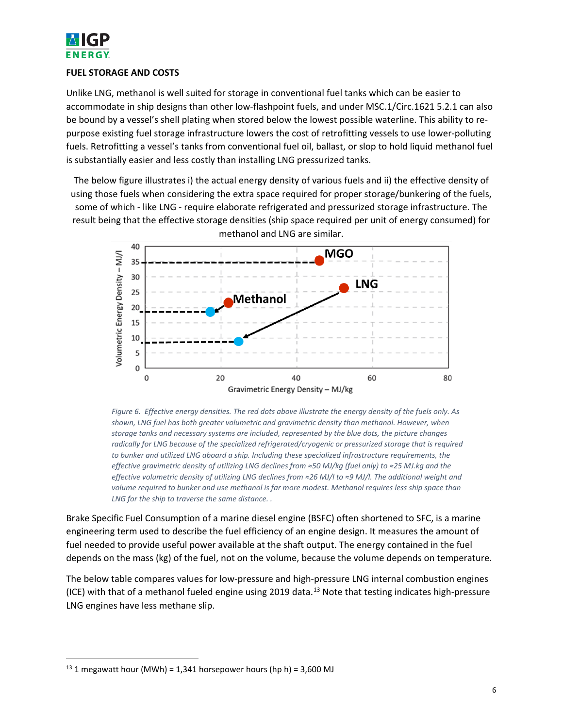

### **FUEL STORAGE AND COSTS**

Unlike LNG, methanol is well suited for storage in conventional fuel tanks which can be easier to accommodate in ship designs than other low-flashpoint fuels, and under MSC.1/Circ.1621 5.2.1 can also be bound by a vessel's shell plating when stored below the lowest possible waterline. This ability to repurpose existing fuel storage infrastructure lowers the cost of retrofitting vessels to use lower-polluting fuels. Retrofitting a vessel's tanks from conventional fuel oil, ballast, or slop to hold liquid methanol fuel is substantially easier and less costly than installing LNG pressurized tanks.

The below figure illustrates i) the actual energy density of various fuels and ii) the effective density of using those fuels when considering the extra space required for proper storage/bunkering of the fuels, some of which - like LNG - require elaborate refrigerated and pressurized storage infrastructure. The result being that the effective storage densities (ship space required per unit of energy consumed) for methanol and LNG are similar.



*Figure 6. Effective energy densities. The red dots above illustrate the energy density of the fuels only. As shown, LNG fuel has both greater volumetric and gravimetric density than methanol. However, when storage tanks and necessary systems are included, represented by the blue dots, the picture changes radically for LNG because of the specialized refrigerated/cryogenic or pressurized storage that is required to bunker and utilized LNG aboard a ship. Including these specialized infrastructure requirements, the effective gravimetric density of utilizing LNG declines from ≈50 MJ/kg (fuel only) to ≈25 MJ.kg and the effective volumetric density of utilizing LNG declines from ≈26 MJ/l to ≈9 MJ/l. The additional weight and volume required to bunker and use methanol is far more modest. Methanol requires less ship space than LNG for the ship to traverse the same distance. .*

Brake Specific Fuel Consumption of a marine diesel engine (BSFC) often shortened to SFC, is a marine engineering term used to describe the fuel efficiency of an engine design. It measures the amount of fuel needed to provide useful power available at the shaft output. The energy contained in the fuel depends on the mass (kg) of the fuel, not on the volume, because the volume depends on temperature.

The below table compares values for low-pressure and high-pressure LNG internal combustion engines (ICE) with that of a methanol fueled engine using 2019 data.<sup>[13](#page-5-0)</sup> Note that testing indicates high-pressure LNG engines have less methane slip.

 $\overline{a}$ 

<span id="page-5-0"></span><sup>&</sup>lt;sup>13</sup> 1 megawatt hour (MWh) = 1,341 horsepower hours (hp h) = 3,600 MJ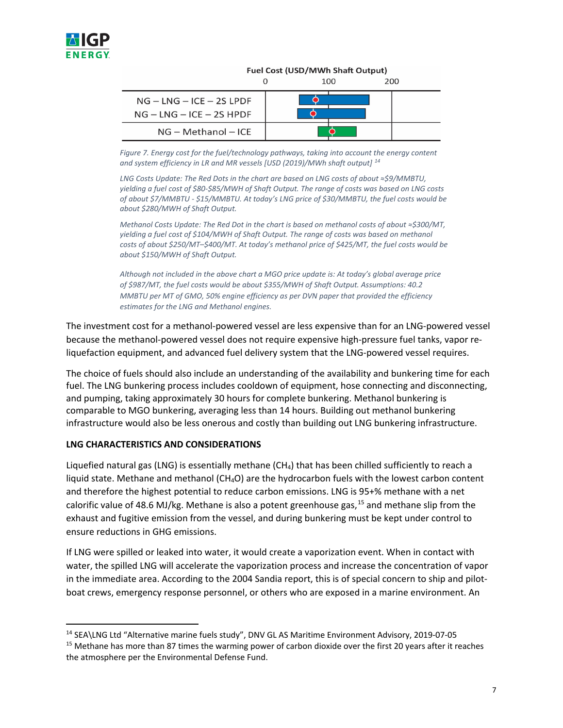#### Fuel Cost (USD/MWh Shaft Output)

|                            | 100 | 200 |
|----------------------------|-----|-----|
| $NG - LNG - ICE - 2S LPDF$ |     |     |
| $NG - LNG - ICE - 2S HPDF$ |     |     |
| $NG - Methanol - ICE$      |     |     |

*Figure 7. Energy cost for the fuel/technology pathways, taking into account the energy content and system efficiency in LR and MR vessels [USD (2019)/MWh shaft output] [14](#page-6-0)*

*LNG Costs Update: The Red Dots in the chart are based on LNG costs of about ≈\$9/MMBTU, yielding a fuel cost of \$80-\$85/MWH of Shaft Output. The range of costs was based on LNG costs of about \$7/MMBTU - \$15/MMBTU. At today's LNG price of \$30/MMBTU, the fuel costs would be about \$280/MWH of Shaft Output.* 

*Methanol Costs Update: The Red Dot in the chart is based on methanol costs of about ≈\$300/MT, yielding a fuel cost of \$104/MWH of Shaft Output. The range of costs was based on methanol costs of about \$250/MT–\$400/MT. At today's methanol price of \$425/MT, the fuel costs would be about \$150/MWH of Shaft Output.*

*Although not included in the above chart a MGO price update is: At today's global average price of \$987/MT, the fuel costs would be about \$355/MWH of Shaft Output. Assumptions: 40.2 MMBTU per MT of GMO, 50% engine efficiency as per DVN paper that provided the efficiency estimates for the LNG and Methanol engines.*

The investment cost for a methanol-powered vessel are less expensive than for an LNG-powered vessel because the methanol-powered vessel does not require expensive high-pressure fuel tanks, vapor reliquefaction equipment, and advanced fuel delivery system that the LNG-powered vessel requires.

The choice of fuels should also include an understanding of the availability and bunkering time for each fuel. The LNG bunkering process includes cooldown of equipment, hose connecting and disconnecting, and pumping, taking approximately 30 hours for complete bunkering. Methanol bunkering is comparable to MGO bunkering, averaging less than 14 hours. Building out methanol bunkering infrastructure would also be less onerous and costly than building out LNG bunkering infrastructure.

#### **LNG CHARACTERISTICS AND CONSIDERATIONS**

 $\overline{a}$ 

Liquefied natural gas (LNG) is essentially methane (CH<sub>4</sub>) that has been chilled sufficiently to reach a liquid state. Methane and methanol (CH4O) are the hydrocarbon fuels with the lowest carbon content and therefore the highest potential to reduce carbon emissions. LNG is 95+% methane with a net calorific value of 48.6 MJ/kg. Methane is also a potent greenhouse gas, <sup>[15](#page-6-1)</sup> and methane slip from the exhaust and fugitive emission from the vessel, and during bunkering must be kept under control to ensure reductions in GHG emissions.

If LNG were spilled or leaked into water, it would create a vaporization event. When in contact with water, the spilled LNG will accelerate the vaporization process and increase the concentration of vapor in the immediate area. According to the 2004 Sandia report, this is of special concern to ship and pilotboat crews, emergency response personnel, or others who are exposed in a marine environment. An

<span id="page-6-1"></span><span id="page-6-0"></span><sup>14</sup> SEA\LNG Ltd "Alternative marine fuels study", DNV GL AS Maritime Environment Advisory, 2019-07-05 <sup>15</sup> Methane has more than 87 times the warming power of carbon dioxide over the first 20 years after it reaches the atmosphere per the Environmental Defense Fund.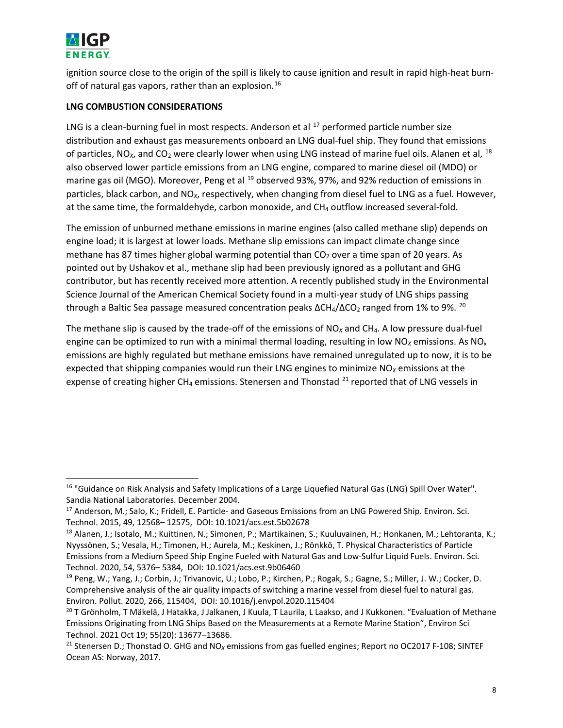

 $\overline{a}$ 

ignition source close to the origin of the spill is likely to cause ignition and result in rapid high-heat burn-off of natural gas vapors, rather than an explosion.<sup>[16](#page-7-0)</sup>

# **LNG COMBUSTION CONSIDERATIONS**

LNG is a clean-burning fuel in most respects. Anderson et al  $^{17}$  $^{17}$  $^{17}$  performed particle number size distribution and exhaust gas measurements onboard an LNG dual-fuel ship. They found that emissions of particles, NO<sub>X</sub>, and CO<sub>2</sub> were clearly lower when using LNG instead of marine fuel oils. Alanen et al, <sup>[18](#page-7-2)</sup> also observed lower particle emissions from an LNG engine, compared to marine diesel oil (MDO) or marine gas oil (MGO). Moreover, Peng et al <sup>[19](#page-7-3)</sup> observed 93%, 97%, and 92% reduction of emissions in particles, black carbon, and NO*X*, respectively, when changing from diesel fuel to LNG as a fuel. However, at the same time, the formaldehyde, carbon monoxide, and CH<sub>4</sub> outflow increased several-fold.

The emission of unburned methane emissions in marine engines (also called methane slip) depends on engine load; it is largest at lower loads. Methane slip emissions can impact climate change since methane has 87 times higher global warming potential than  $CO<sub>2</sub>$  over a time span of 20 years. As pointed out by Ushakov et al., methane slip had been previously ignored as a pollutant and GHG contributor, but has recently received more attention. A recently published study in the Environmental Science Journal of the American Chemical Society found in a multi-year study of LNG ships passing through a Baltic Sea passage measured concentration peaks  $\Delta CH_4/\Delta CO_2$  ranged from 1% to 9%. <sup>[20](#page-7-4)</sup>

The methane slip is caused by the trade-off of the emissions of  $NO<sub>X</sub>$  and  $CH<sub>4</sub>$ . A low pressure dual-fuel engine can be optimized to run with a minimal thermal loading, resulting in low  $NO<sub>X</sub>$  emissions. As  $NO<sub>X</sub>$ emissions are highly regulated but methane emissions have remained unregulated up to now, it is to be expected that shipping companies would run their LNG engines to minimize  $NO<sub>X</sub>$  emissions at the expense of creating higher CH<sub>4</sub> emissions. Stenersen and Thonstad  $^{21}$  $^{21}$  $^{21}$  reported that of LNG vessels in

<span id="page-7-0"></span><sup>&</sup>lt;sup>16</sup> "Guidance on Risk Analysis and Safety Implications of a Large Liquefied Natural Gas (LNG) Spill Over Water". Sandia National Laboratories. December 2004.

<span id="page-7-1"></span><sup>17</sup> Anderson, M.; Salo, K.; Fridell, E. Particle- and Gaseous Emissions from an LNG Powered Ship. Environ. Sci. Technol. 2015, 49, 12568– 12575, DOI: 10.1021/acs.est.5b02678

<span id="page-7-2"></span><sup>18</sup> Alanen, J.; Isotalo, M.; Kuittinen, N.; Simonen, P.; Martikainen, S.; Kuuluvainen, H.; Honkanen, M.; Lehtoranta, K.; Nyyssönen, S.; Vesala, H.; Timonen, H.; Aurela, M.; Keskinen, J.; Rönkkö, T. Physical Characteristics of Particle Emissions from a Medium Speed Ship Engine Fueled with Natural Gas and Low-Sulfur Liquid Fuels. Environ. Sci. Technol. 2020, 54, 5376– 5384, DOI: 10.1021/acs.est.9b06460

<span id="page-7-3"></span><sup>19</sup> Peng, W.; Yang, J.; Corbin, J.; Trivanovic, U.; Lobo, P.; Kirchen, P.; Rogak, S.; Gagne, S.; Miller, J. W.; Cocker, D. Comprehensive analysis of the air quality impacts of switching a marine vessel from diesel fuel to natural gas. Environ. Pollut. 2020, 266, 115404, DOI: 10.1016/j.envpol.2020.115404

<span id="page-7-4"></span><sup>&</sup>lt;sup>20</sup> T Grönholm, T Mäkelä, J Hatakka, J Jalkanen, J Kuula, T Laurila, L Laakso, and J Kukkonen. "Evaluation of Methane Emissions Originating from LNG Ships Based on the Measurements at a Remote Marine Station", Environ Sci Technol. 2021 Oct 19; 55(20): 13677–13686.

<span id="page-7-5"></span><sup>21</sup> Stenersen D.; Thonstad O. GHG and NO*<sup>X</sup>* emissions from gas fuelled engines; Report no OC2017 F-108; SINTEF Ocean AS: Norway, 2017.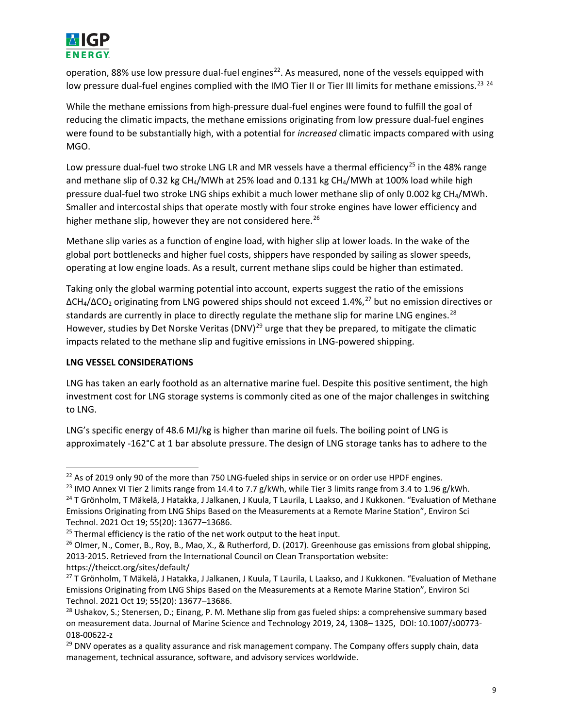

operation, 88% use low pressure dual-fuel engines<sup>[22](#page-8-0)</sup>. As measured, none of the vessels equipped with low pressure dual-fuel engines complied with the IMO Tier II or Tier III limits for methane emissions.<sup>[23](#page-8-1) [24](#page-8-2)</sup>

While the methane emissions from high-pressure dual-fuel engines were found to fulfill the goal of reducing the climatic impacts, the methane emissions originating from low pressure dual-fuel engines were found to be substantially high, with a potential for *increased* climatic impacts compared with using MGO.

Low pressure dual-fuel two stroke LNG LR and MR vessels have a thermal efficiency<sup>[25](#page-8-3)</sup> in the 48% range and methane slip of 0.32 kg CH<sub>4</sub>/MWh at 25% load and 0.131 kg CH<sub>4</sub>/MWh at 100% load while high pressure dual-fuel two stroke LNG ships exhibit a much lower methane slip of only 0.002 kg CH4/MWh. Smaller and intercostal ships that operate mostly with four stroke engines have lower efficiency and higher methane slip, however they are not considered here.<sup>[26](#page-8-4)</sup>

Methane slip varies as a function of engine load, with higher slip at lower loads. In the wake of the global port bottlenecks and higher fuel costs, shippers have responded by sailing as slower speeds, operating at low engine loads. As a result, current methane slips could be higher than estimated.

Taking only the global warming potential into account, experts suggest the ratio of the emissions ΔCH<sub>4</sub>/ΔCO<sub>2</sub> originating from LNG powered ships should not exceed 1.4%,<sup>[27](#page-8-5)</sup> but no emission directives or standards are currently in place to directly regulate the methane slip for marine LNG engines.<sup>[28](#page-8-6)</sup> However, studies by Det Norske Veritas (DNV)<sup>[29](#page-8-7)</sup> urge that they be prepared, to mitigate the climatic impacts related to the methane slip and fugitive emissions in LNG-powered shipping.

# **LNG VESSEL CONSIDERATIONS**

l

LNG has taken an early foothold as an alternative marine fuel. Despite this positive sentiment, the high investment cost for LNG storage systems is commonly cited as one of the major challenges in switching to LNG.

LNG's specific energy of 48.6 MJ/kg is higher than marine oil fuels. The boiling point of LNG is approximately -162°C at 1 bar absolute pressure. The design of LNG storage tanks has to adhere to the

<span id="page-8-0"></span> $^{22}$  As of 2019 only 90 of the more than 750 LNG-fueled ships in service or on order use HPDF engines.

<span id="page-8-1"></span><sup>&</sup>lt;sup>23</sup> IMO Annex VI Tier 2 limits range from 14.4 to 7.7 g/kWh, while Tier 3 limits range from 3.4 to 1.96 g/kWh.

<span id="page-8-2"></span><sup>&</sup>lt;sup>24</sup> T Grönholm, T Mäkelä, J Hatakka, J Jalkanen, J Kuula, T Laurila, L Laakso, and J Kukkonen. "Evaluation of Methane Emissions Originating from LNG Ships Based on the Measurements at a Remote Marine Station", Environ Sci Technol. 2021 Oct 19; 55(20): 13677–13686.

<span id="page-8-4"></span><span id="page-8-3"></span><sup>&</sup>lt;sup>25</sup> Thermal efficiency is the ratio of the net work output to the heat input.<br><sup>26</sup> Olmer, N., Comer, B., Roy, B., Mao, X., & Rutherford, D. (2017). Greenhouse gas emissions from global shipping, 2013-2015. Retrieved from the International Council on Clean Transportation website: https://theicct.org/sites/default/

<span id="page-8-5"></span><sup>&</sup>lt;sup>27</sup> T Grönholm, T Mäkelä, J Hatakka, J Jalkanen, J Kuula, T Laurila, L Laakso, and J Kukkonen. "Evaluation of Methane Emissions Originating from LNG Ships Based on the Measurements at a Remote Marine Station", Environ Sci Technol. 2021 Oct 19; 55(20): 13677–13686.

<span id="page-8-6"></span><sup>&</sup>lt;sup>28</sup> Ushakov, S.; Stenersen, D.; Einang, P. M. Methane slip from gas fueled ships: a comprehensive summary based on measurement data. Journal of Marine Science and Technology 2019, 24, 1308– 1325, DOI: 10.1007/s00773- 018-00622-z<br><sup>29</sup> DNV operates as a quality assurance and risk management company. The Company offers supply chain, data

<span id="page-8-7"></span>management, technical assurance, software, and advisory services worldwide.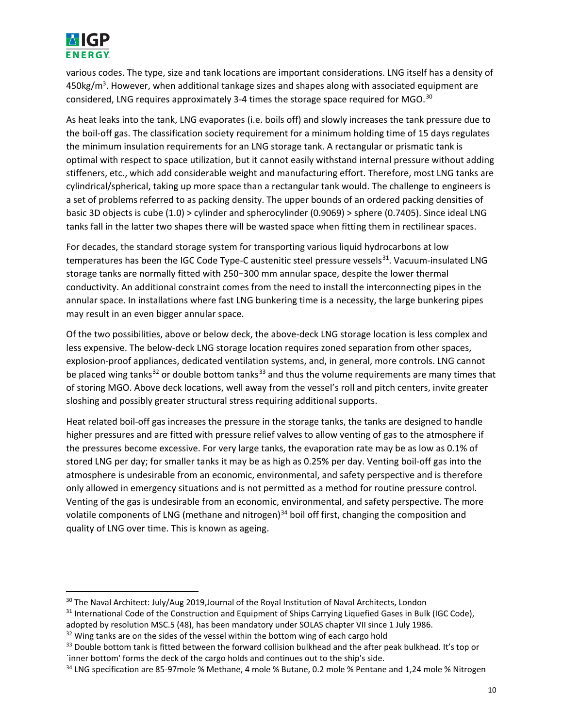

 $\overline{\phantom{a}}$ 

various codes. The type, size and tank locations are important considerations. LNG itself has a density of 450kg/m<sup>3</sup>. However, when additional tankage sizes and shapes along with associated equipment are considered, LNG requires approximately 3-4 times the storage space required for MGO.<sup>[30](#page-9-0)</sup>

As heat leaks into the tank, LNG evaporates (i.e. boils off) and slowly increases the tank pressure due to the boil-off gas. The classification society requirement for a minimum holding time of 15 days regulates the minimum insulation requirements for an LNG storage tank. A rectangular or prismatic tank is optimal with respect to space utilization, but it cannot easily withstand internal pressure without adding stiffeners, etc., which add considerable weight and manufacturing effort. Therefore, most LNG tanks are cylindrical/spherical, taking up more space than a rectangular tank would. The challenge to engineers is a set of problems referred to as packing density. The upper bounds of an ordered packing densities of basic 3D objects is cube (1.0) > cylinder and spherocylinder (0.9069) > sphere (0.7405). Since ideal LNG tanks fall in the latter two shapes there will be wasted space when fitting them in rectilinear spaces.

For decades, the standard storage system for transporting various liquid hydrocarbons at low temperatures has been the IGC Code Type-C austenitic steel pressure vessels<sup>[31](#page-9-1)</sup>. Vacuum-insulated LNG storage tanks are normally fitted with 250−300 mm annular space, despite the lower thermal conductivity. An additional constraint comes from the need to install the interconnecting pipes in the annular space. In installations where fast LNG bunkering time is a necessity, the large bunkering pipes may result in an even bigger annular space.

Of the two possibilities, above or below deck, the above-deck LNG storage location is less complex and less expensive. The below-deck LNG storage location requires zoned separation from other spaces, explosion-proof appliances, dedicated ventilation systems, and, in general, more controls. LNG cannot be placed wing tanks<sup>[32](#page-9-2)</sup> or double bottom tanks<sup>[33](#page-9-3)</sup> and thus the volume requirements are many times that of storing MGO. Above deck locations, well away from the vessel's roll and pitch centers, invite greater sloshing and possibly greater structural stress requiring additional supports.

Heat related boil-off gas increases the pressure in the storage tanks, the tanks are designed to handle higher pressures and are fitted with pressure relief valves to allow venting of gas to the atmosphere if the pressures become excessive. For very large tanks, the evaporation rate may be as low as 0.1% of stored LNG per day; for smaller tanks it may be as high as 0.25% per day. Venting boil-off gas into the atmosphere is undesirable from an economic, environmental, and safety perspective and is therefore only allowed in emergency situations and is not permitted as a method for routine pressure control. Venting of the gas is undesirable from an economic, environmental, and safety perspective. The more volatile components of LNG (methane and nitrogen)<sup>[34](#page-9-4)</sup> boil off first, changing the composition and quality of LNG over time. This is known as ageing.

<span id="page-9-0"></span><sup>&</sup>lt;sup>30</sup> The Naval Architect: July/Aug 2019, Journal of the Royal Institution of Naval Architects, London

<span id="page-9-1"></span><sup>&</sup>lt;sup>31</sup> International Code of the Construction and Equipment of Ships Carrying Liquefied Gases in Bulk (IGC Code), adopted by resolution MSC.5 (48), has been mandatory under SOLAS chapter VII since 1 July 1986.

<span id="page-9-2"></span><sup>&</sup>lt;sup>32</sup> Wing tanks are on the sides of the vessel within the bottom wing of each cargo hold

<span id="page-9-3"></span><sup>&</sup>lt;sup>33</sup> Double bottom tank is fitted between the forward collision bulkhead and the after peak bulkhead. It's top or `inner bottom' forms the deck of the cargo holds and continues out to the ship's side.<br><sup>34</sup> LNG specification are 85-97mole % Methane, 4 mole % Butane, 0.2 mole % Pentane and 1,24 mole % Nitrogen

<span id="page-9-4"></span>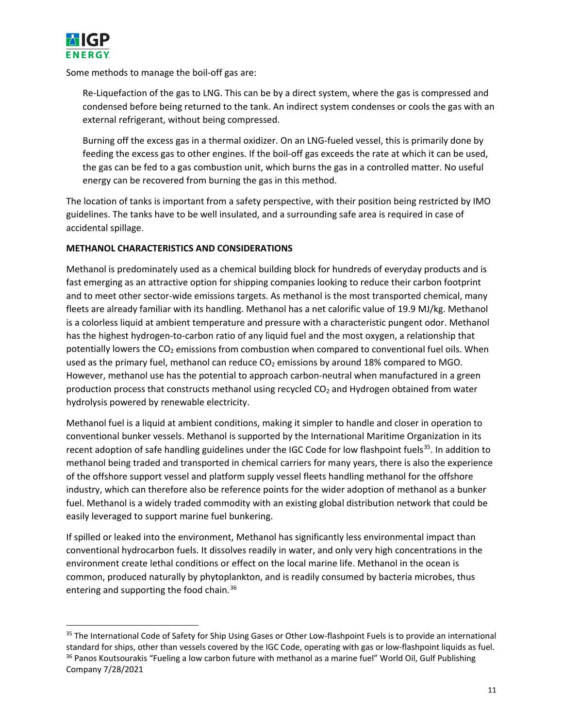

Some methods to manage the boil-off gas are:

Re-Liquefaction of the gas to LNG. This can be by a direct system, where the gas is compressed and condensed before being returned to the tank. An indirect system condenses or cools the gas with an external refrigerant, without being compressed.

Burning off the excess gas in a thermal oxidizer. On an LNG-fueled vessel, this is primarily done by feeding the excess gas to other engines. If the boil-off gas exceeds the rate at which it can be used, the gas can be fed to a gas combustion unit, which burns the gas in a controlled matter. No useful energy can be recovered from burning the gas in this method.

The location of tanks is important from a safety perspective, with their position being restricted by IMO guidelines. The tanks have to be well insulated, and a surrounding safe area is required in case of accidental spillage.

# **METHANOL CHARACTERISTICS AND CONSIDERATIONS**

Methanol is predominately used as a chemical building block for hundreds of everyday products and is fast emerging as an attractive option for shipping companies looking to reduce their carbon footprint and to meet other sector-wide emissions targets. As methanol is the most transported chemical, many fleets are already familiar with its handling. Methanol has a net calorific value of 19.9 MJ/kg. Methanol is a colorless liquid at ambient temperature and pressure with a characteristic pungent odor. Methanol has the highest hydrogen-to-carbon ratio of any liquid fuel and the most oxygen, a relationship that potentially lowers the  $CO<sub>2</sub>$  emissions from combustion when compared to conventional fuel oils. When used as the primary fuel, methanol can reduce  $CO<sub>2</sub>$  emissions by around 18% compared to MGO. However, methanol use has the potential to approach carbon-neutral when manufactured in a green production process that constructs methanol using recycled CO<sub>2</sub> and Hydrogen obtained from water hydrolysis powered by renewable electricity.

Methanol fuel is a liquid at ambient conditions, making it simpler to handle and closer in operation to conventional bunker vessels. Methanol is supported by the International Maritime Organization in its recent adoption of safe handling guidelines under the IGC Code for low flashpoint fuels<sup>[35](#page-10-0)</sup>. In addition to methanol being traded and transported in chemical carriers for many years, there is also the experience of the offshore support vessel and platform supply vessel fleets handling methanol for the offshore industry, which can therefore also be reference points for the wider adoption of methanol as a bunker fuel. Methanol is a widely traded commodity with an existing global distribution network that could be easily leveraged to support marine fuel bunkering.

If spilled or leaked into the environment, Methanol has significantly less environmental impact than conventional hydrocarbon fuels. It dissolves readily in water, and only very high concentrations in the environment create lethal conditions or effect on the local marine life. Methanol in the ocean is common, produced naturally by phytoplankton, and is readily consumed by bacteria microbes, thus entering and supporting the food chain.<sup>[36](#page-10-1)</sup>

<span id="page-10-1"></span><span id="page-10-0"></span><sup>35</sup> The International Code of Safety for Ship Using Gases or Other Low-flashpoint Fuels is to provide an international standard for ships, other than vessels covered by the IGC Code, operating with gas or low-flashpoint liquids as fuel. <sup>36</sup> Panos Koutsourakis "Fueling a low carbon future with methanol as a marine fuel" World Oil, Gulf Publishing Company 7/28/2021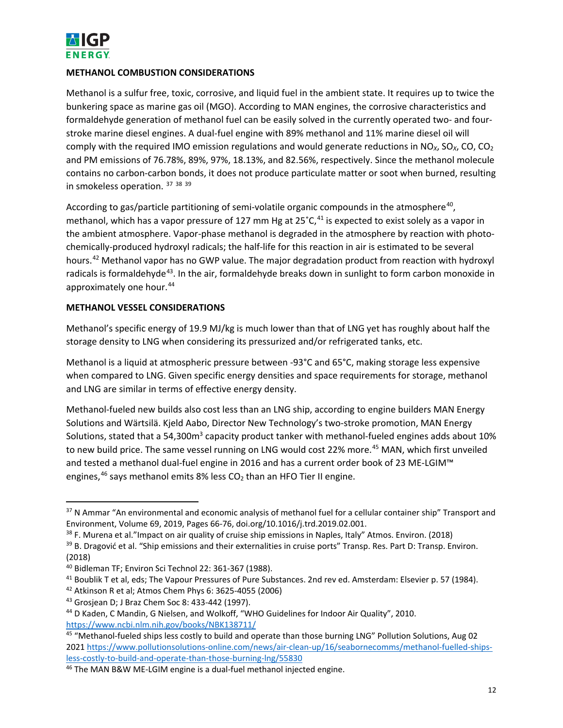

# **METHANOL COMBUSTION CONSIDERATIONS**

Methanol is a sulfur free, toxic, corrosive, and liquid fuel in the ambient state. It requires up to twice the bunkering space as marine gas oil (MGO). According to MAN engines, the corrosive characteristics and formaldehyde generation of methanol fuel can be easily solved in the currently operated two- and fourstroke marine diesel engines. A dual-fuel engine with 89% methanol and 11% marine diesel oil will comply with the required IMO emission regulations and would generate reductions in NO*X*, SO*X*, CO, CO2 and PM emissions of 76.78%, 89%, 97%, 18.13%, and 82.56%, respectively. Since the methanol molecule contains no carbon-carbon bonds, it does not produce particulate matter or soot when burned, resulting in smokeless operation. [37](#page-11-0) [38](#page-11-1) [39](#page-11-2)

According to gas/particle partitioning of semi-volatile organic compounds in the atmosphere<sup>40</sup>, methanol, which has a vapor pressure of 127 mm Hg at  $25^{\circ}$ C, <sup>[41](#page-11-4)</sup> is expected to exist solely as a vapor in the ambient atmosphere. Vapor-phase methanol is degraded in the atmosphere by reaction with photochemically-produced hydroxyl radicals; the half-life for this reaction in air is estimated to be several hours.<sup>[42](#page-11-5)</sup> Methanol vapor has no GWP value. The major degradation product from reaction with hydroxyl radicals is formaldehyde<sup>[43](#page-11-6)</sup>. In the air, formaldehyde breaks down in sunlight to form carbon monoxide in approximately one hour. [44](#page-11-7)

# **METHANOL VESSEL CONSIDERATIONS**

Methanol's specific energy of 19.9 MJ/kg is much lower than that of LNG yet has roughly about half the storage density to LNG when considering its pressurized and/or refrigerated tanks, etc.

Methanol is a liquid at atmospheric pressure between -93°C and 65°C, making storage less expensive when compared to LNG. Given specific energy densities and space requirements for storage, methanol and LNG are similar in terms of effective energy density.

Methanol-fueled new builds also cost less than an LNG ship, according to engine builders MAN Energy Solutions and Wärtsilä. Kjeld Aabo, Director New Technology's two-stroke promotion, MAN Energy Solutions, stated that a 54,300m<sup>3</sup> capacity product tanker with methanol-fueled engines adds about 10% to new build price. The same vessel running on LNG would cost 22% more.<sup>[45](#page-11-8)</sup> MAN, which first unveiled and tested a methanol dual-fuel engine in 2016 and has a current order book of 23 ME-LGIM™ engines,  $46$  says methanol emits 8% less  $CO<sub>2</sub>$  than an HFO Tier II engine.

<span id="page-11-0"></span><sup>&</sup>lt;sup>37</sup> N Ammar "An environmental and economic analysis of methanol fuel for a cellular container ship" Transport and Environment, Volume 69, 2019, Pages 66-76, doi.org/10.1016/j.trd.2019.02.001.

<span id="page-11-1"></span><sup>&</sup>lt;sup>38</sup> F. Murena et al."Impact on air quality of cruise ship emissions in Naples, Italy" Atmos. Environ. (2018)

<span id="page-11-2"></span><sup>&</sup>lt;sup>39</sup> B. Dragović et al. "Ship emissions and their externalities in cruise ports" Transp. Res. Part D: Transp. Environ. (2018)

<span id="page-11-3"></span><sup>40</sup> Bidleman TF; Environ Sci Technol 22: 361-367 (1988).

<span id="page-11-4"></span><sup>41</sup> Boublik T et al, eds; The Vapour Pressures of Pure Substances. 2nd rev ed. Amsterdam: Elsevier p. 57 (1984).

<span id="page-11-5"></span><sup>42</sup> Atkinson R et al; Atmos Chem Phys 6: 3625-4055 (2006)

<span id="page-11-6"></span><sup>43</sup> Grosjean D; J Braz Chem Soc 8: 433-442 (1997).

<span id="page-11-7"></span><sup>44</sup> D Kaden, C Mandin, G Nielsen, and Wolkoff, "WHO Guidelines for Indoor Air Quality", 2010.

<span id="page-11-8"></span>https://www.ncbi.nlm.nih.gov/books/NBK138711/<br><sup>45</sup>"Methanol-fueled ships less costly to build and operate than those burning LNG" Pollution Solutions, Aug 02 2021 https://www.pollutionsolutions-online.com/news/air-clean-up/16/seabornecomms/methanol-fuelled-ships-<br>less-costly-to-build-and-operate-than-those-burning-lng/55830

<span id="page-11-9"></span><sup>&</sup>lt;sup>46</sup> The MAN B&W ME-LGIM engine is a dual-fuel methanol injected engine.